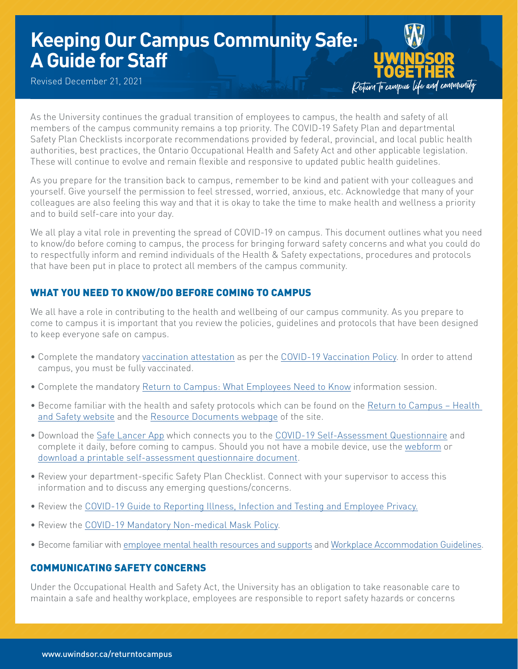# **Keeping Our Campus Community Safe: A Guide for Staff**

Revised December 21, 2021



As the University continues the gradual transition of employees to campus, the health and safety of all members of the campus community remains a top priority. The COVID-19 Safety Plan and departmental Safety Plan Checklists incorporate recommendations provided by federal, provincial, and local public health authorities, best practices, the Ontario Occupational Health and Safety Act and other applicable legislation. These will continue to evolve and remain flexible and responsive to updated public health guidelines.

As you prepare for the transition back to campus, remember to be kind and patient with your colleagues and yourself. Give yourself the permission to feel stressed, worried, anxious, etc. Acknowledge that many of your colleagues are also feeling this way and that it is okay to take the time to make health and wellness a priority and to build self-care into your day.

We all play a vital role in preventing the spread of COVID-19 on campus. This document outlines what you need to know/do before coming to campus, the process for bringing forward safety concerns and what you could do to respectfully inform and remind individuals of the Health & Safety expectations, procedures and protocols that have been put in place to protect all members of the campus community.

## WHAT YOU NEED TO KNOW/DO BEFORE COMING TO CAMPUS

We all have a role in contributing to the health and wellbeing of our campus community. As you prepare to come to campus it is important that you review the policies, guidelines and protocols that have been designed to keep everyone safe on campus.

- Complete the mandatory [vaccination attestation](https://uwindsor.ca/vaccine) as per the [COVID-19 Vaccination Policy](https://www.uwindsor.ca/returntocampus/467/vaccination-policy). In order to attend campus, you must be fully vaccinated.
- Complete the mandatory [Return to Campus: What Employees Need to Know](https://www.uwindsor.ca/returntocampus/340/information-sessions) information session.
- Become familiar with the health and safety protocols which can be found on the [Return to Campus Health](https://www.uwindsor.ca/returntocampus/310/health-safety)  [and Safety website](https://www.uwindsor.ca/returntocampus/310/health-safety) and the [Resource Documents webpage](https://www.uwindsor.ca/returntocampus/350/resource-documents) of the site.
- Download the [Safe Lancer App](https://www.uwindsor.ca/returntocampus/339/self-assessment-questionnaire) which connects you to the [COVID-19 Self-Assessment Questionnaire](https://www.uwindsor.ca/returntocampus/339/self-assessment-questionnaire) and complete it daily, before coming to campus. Should you not have a mobile device, use the [webform](https://uwindsor.apparmor.com/WebApp/default.aspx?menu=Start+Web+Self+Assessment) or [download a printable self-assessment questionnaire document.](https://www.uwindsor.ca/returntocampus/339/self-assessment-questionnaire)
- Review your department-specific Safety Plan Checklist. Connect with your supervisor to access this information and to discuss any emerging questions/concerns.
- Review the [COVID-19 Guide to Reporting Illness, Infection and Testing and Employee Privacy](https://www.uwindsor.ca/returntocampus/sites/uwindsor.ca.returntocampus/files/covid-19_employee_reporting_guide.pdf).
- Review the [COVID-19 Mandatory Non-medical Mask Policy](https://lawlibrary.uwindsor.ca/Presto/content/Detail.aspx?ctID=OTdhY2QzODgtNjhlYi00ZWY0LTg2OTUtNmU5NjEzY2JkMWYx&rID=MjQw&qrs=RmFsc2U=&q=KFVuaXZlcnNpdHlfb2ZfV2luZHNvcl9DZW50cmFsX1BvbGljaWVzLkFsbFRleHQ6KENPVklEKSk=&ph=VHJ1ZQ==&bckToL=VHJ1ZQ==&rrtc=VHJ1ZQ==).
- Become familiar with [employee mental health resources and supports](https://www.uwindsor.ca/humanresources/740/employee-mental-health-resources) and [Workplace Accommodation Guidelines](https://www.uwindsor.ca/humanresources/workplaceaccommodation).

## COMMUNICATING SAFETY CONCERNS

Under the Occupational Health and Safety Act, the University has an obligation to take reasonable care to maintain a safe and healthy workplace, employees are responsible to report safety hazards or concerns